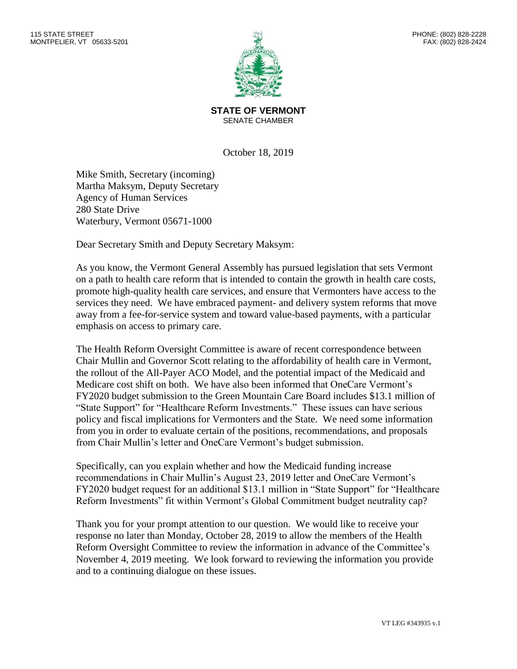

**STATE OF VERMONT** SENATE CHAMBER

October 18, 2019

Mike Smith, Secretary (incoming) Martha Maksym, Deputy Secretary Agency of Human Services 280 State Drive Waterbury, Vermont 05671-1000

Dear Secretary Smith and Deputy Secretary Maksym:

As you know, the Vermont General Assembly has pursued legislation that sets Vermont on a path to health care reform that is intended to contain the growth in health care costs, promote high-quality health care services, and ensure that Vermonters have access to the services they need. We have embraced payment- and delivery system reforms that move away from a fee-for-service system and toward value-based payments, with a particular emphasis on access to primary care.

The Health Reform Oversight Committee is aware of recent correspondence between Chair Mullin and Governor Scott relating to the affordability of health care in Vermont, the rollout of the All-Payer ACO Model, and the potential impact of the Medicaid and Medicare cost shift on both. We have also been informed that OneCare Vermont's FY2020 budget submission to the Green Mountain Care Board includes \$13.1 million of "State Support" for "Healthcare Reform Investments." These issues can have serious policy and fiscal implications for Vermonters and the State. We need some information from you in order to evaluate certain of the positions, recommendations, and proposals from Chair Mullin's letter and OneCare Vermont's budget submission.

Specifically, can you explain whether and how the Medicaid funding increase recommendations in Chair Mullin's August 23, 2019 letter and OneCare Vermont's FY2020 budget request for an additional \$13.1 million in "State Support" for "Healthcare Reform Investments" fit within Vermont's Global Commitment budget neutrality cap?

Thank you for your prompt attention to our question. We would like to receive your response no later than Monday, October 28, 2019 to allow the members of the Health Reform Oversight Committee to review the information in advance of the Committee's November 4, 2019 meeting. We look forward to reviewing the information you provide and to a continuing dialogue on these issues.